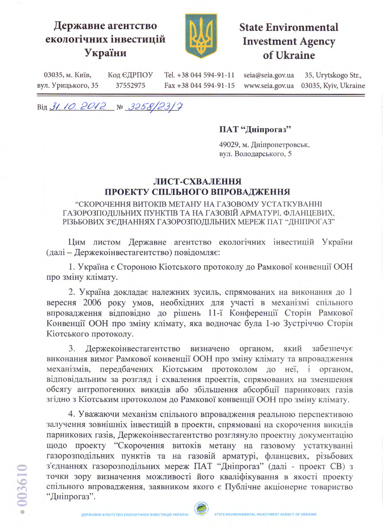## Державне агентство екологічних інвестицій України



## **State Environmental Investment Agency** of Ukraine

03035, м. Київ, Код ЄДРПОУ Tel. +38 044 594-91-11 seia@seia.gov.ua 35, Urytskogo Str., вул. Урицького, 35 37552975 Fax +38 044 594-91-15 www.seia.gov.ua 03035, Kyiv, Ukraine

Від 31.10.2012 № 3258/23/7

## ПАТ "Дніпрогаз"

49029, м. Дніпропетровськ, вул. Володарського, 5

## ЛИСТ-СХВАЛЕННЯ ПРОЕКТУ СПІЛЬНОГО ВПРОВАДЖЕННЯ

"СКОРОЧЕННЯ ВИТОКІВ МЕТАНУ НА ГАЗОВОМУ УСТАТКУВАННІ ГАЗОРОЗПОДІЛЬНИХ ПУНКТІВ ТА НА ГАЗОВІЙ АРМАТУРІ. ФЛАНЦЕВИХ. РІЗЬБОВИХ З'ЄДНАННЯХ ГАЗОРОЗПОДІЛЬНИХ МЕРЕЖ ПАТ "ДНІПРОГАЗ"

Цим листом Державне агентство екологічних інвестицій України (далі - Держекоінвестагентство) повідомляє:

1. Україна є Стороною Кіотського протоколу до Рамкової конвенції ООН про зміну клімату.

2. Україна докладає належних зусиль, спрямованих на виконання до 1 вересня 2006 року умов, необхідних для участі в механізмі спільного впровадження відповідно до рішень 11-ї Конференції Сторін Рамкової Конвенції ООН про зміну клімату, яка водночас була 1-ю Зустріччю Сторін Кіотського протоколу.

3. Держекоінвестагентство визначено органом, який забезпечує виконання вимог Рамкової конвенції ООН про зміну клімату та впровадження передбачених Кіотським протоколом до неї, і органом, механізмів. відповідальним за розгляд і схвалення проектів, спрямованих на зменшення обсягу антропогенних викидів або збільшення абсорбції парникових газів згідно з Кіотським протоколом до Рамкової конвенції ООН про зміну клімату.

4. Уважаючи механізм спільного впровадження реальною перспективою залучення зовнішніх інвестицій в проекти, спрямовані на скорочення викидів парникових газів, Держекоінвестагентство розглянуло проектну документацію щодо проекту "Скорочення витоків метану на газовому устаткуванні газорозподільних пунктів та на газовій арматурі, фланцевих, різьбових з'єднаннях газорозподільних мереж ПАТ "Дніпрогаз" (далі - проект СВ) з точки зору визначення можливості його кваліфікування в якості проекту спільного впровадження, заявником якого є Публічне акціонерне товариство "Дніпрогаз".